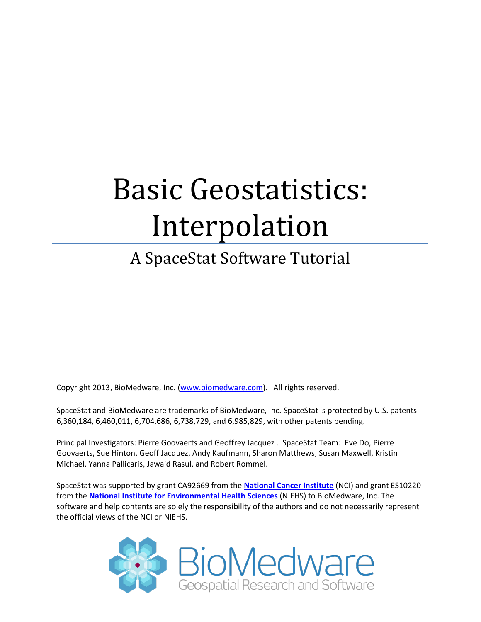# Basic Geostatistics: Interpolation

# A SpaceStat Software Tutorial

Copyright 2013, BioMedware, Inc. [\(www.biomedware.com\)](http://www.biomedware.com/). All rights reserved.

SpaceStat and BioMedware are trademarks of BioMedware, Inc. SpaceStat is protected by U.S. patents 6,360,184, 6,460,011, 6,704,686, 6,738,729, and 6,985,829, with other patents pending.

Principal Investigators: Pierre Goovaerts and Geoffrey Jacquez . SpaceStat Team: Eve Do, Pierre Goovaerts, Sue Hinton, Geoff Jacquez, Andy Kaufmann, Sharon Matthews, Susan Maxwell, Kristin Michael, Yanna Pallicaris, Jawaid Rasul, and Robert Rommel.

SpaceStat was supported by grant CA92669 from the **[National Cancer Institute](http://www.nci.nih.gov/)** (NCI) and grant ES10220 from the **[National Institute for Environmental Health Sciences](http://www.niehs.nih.gov/)** (NIEHS) to BioMedware, Inc. The software and help contents are solely the responsibility of the authors and do not necessarily represent the official views of the NCI or NIEHS.

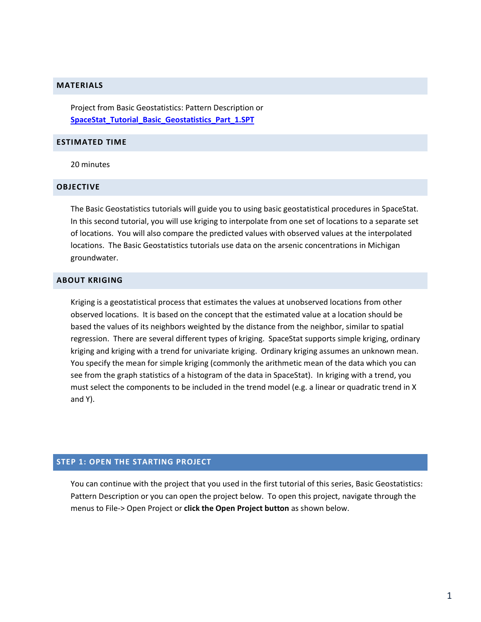#### **MATERIALS**

Project from Basic Geostatistics: Pattern Description or **[SpaceStat\\_Tutorial\\_Basic\\_Geostatistics\\_Part\\_1.SPT](http://www.biomedware.com/subdomains/biomed/files/tutorials/BasicGeostatisticsPart1/SpaceStat_Tutorial_Basic_Geostatistics_Part_1.spt)**

### **ESTIMATED TIME**

20 minutes

#### **OBJECTIVE**

The Basic Geostatistics tutorials will guide you to using basic geostatistical procedures in SpaceStat. In this second tutorial, you will use kriging to interpolate from one set of locations to a separate set of locations. You will also compare the predicted values with observed values at the interpolated locations. The Basic Geostatistics tutorials use data on the arsenic concentrations in Michigan groundwater.

#### **ABOUT KRIGING**

Kriging is a geostatistical process that estimates the values at unobserved locations from other observed locations. It is based on the concept that the estimated value at a location should be based the values of its neighbors weighted by the distance from the neighbor, similar to spatial regression. There are several different types of kriging. SpaceStat supports simple kriging, ordinary kriging and kriging with a trend for univariate kriging. Ordinary kriging assumes an unknown mean. You specify the mean for simple kriging (commonly the arithmetic mean of the data which you can see from the graph statistics of a histogram of the data in SpaceStat). In kriging with a trend, you must select the components to be included in the trend model (e.g. a linear or quadratic trend in X and Y).

# **STEP 1: OPEN THE STARTING PROJECT**

You can continue with the project that you used in the first tutorial of this series, Basic Geostatistics: Pattern Description or you can open the project below. To open this project, navigate through the menus to File-> Open Project or **click the Open Project button** as shown below.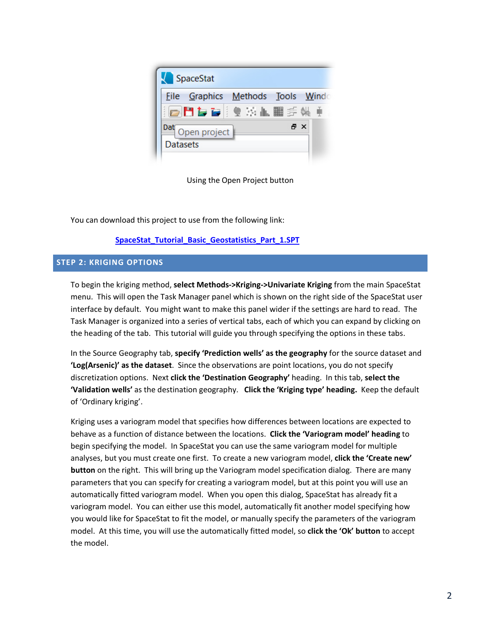

Using the Open Project button

You can download this project to use from the following link:

# **[SpaceStat\\_Tutorial\\_Basic\\_Geostatistics\\_Part\\_1.SPT](http://www.biomedware.com/subdomains/biomed/files/tutorials/BasicGeostatisticsPart1/SpaceStat_Tutorial_Basic_Geostatistics_Part_1.spt)**

# **STEP 2: KRIGING OPTIONS**

To begin the kriging method, **select Methods->Kriging->Univariate Kriging** from the main SpaceStat menu. This will open the Task Manager panel which is shown on the right side of the SpaceStat user interface by default. You might want to make this panel wider if the settings are hard to read. The Task Manager is organized into a series of vertical tabs, each of which you can expand by clicking on the heading of the tab. This tutorial will guide you through specifying the options in these tabs.

In the Source Geography tab, **specify 'Prediction wells' as the geography** for the source dataset and **'Log(Arsenic)' as the dataset**. Since the observations are point locations, you do not specify discretization options. Next **click the 'Destination Geography'** heading. In this tab, **select the 'Validation wells'** as the destination geography. **Click the 'Kriging type' heading.** Keep the default of 'Ordinary kriging'.

Kriging uses a variogram model that specifies how differences between locations are expected to behave as a function of distance between the locations. **Click the 'Variogram model' heading** to begin specifying the model. In SpaceStat you can use the same variogram model for multiple analyses, but you must create one first. To create a new variogram model, **click the 'Create new' button** on the right. This will bring up the Variogram model specification dialog. There are many parameters that you can specify for creating a variogram model, but at this point you will use an automatically fitted variogram model. When you open this dialog, SpaceStat has already fit a variogram model. You can either use this model, automatically fit another model specifying how you would like for SpaceStat to fit the model, or manually specify the parameters of the variogram model. At this time, you will use the automatically fitted model, so **click the 'Ok' button** to accept the model.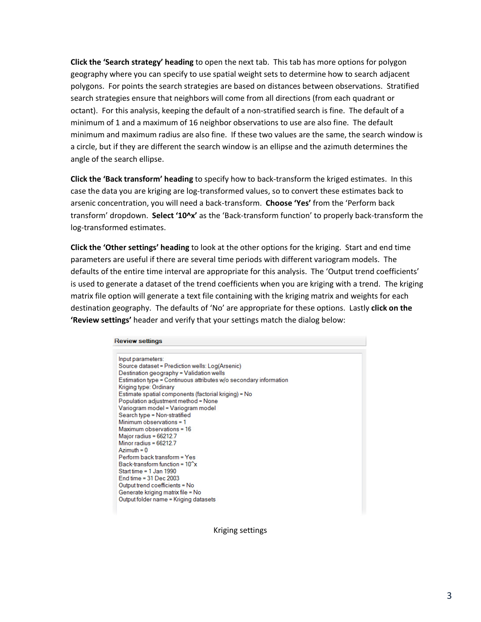**Click the 'Search strategy' heading** to open the next tab. This tab has more options for polygon geography where you can specify to use spatial weight sets to determine how to search adjacent polygons. For points the search strategies are based on distances between observations. Stratified search strategies ensure that neighbors will come from all directions (from each quadrant or octant). For this analysis, keeping the default of a non-stratified search is fine. The default of a minimum of 1 and a maximum of 16 neighbor observations to use are also fine. The default minimum and maximum radius are also fine. If these two values are the same, the search window is a circle, but if they are different the search window is an ellipse and the azimuth determines the angle of the search ellipse.

**Click the 'Back transform' heading** to specify how to back-transform the kriged estimates. In this case the data you are kriging are log-transformed values, so to convert these estimates back to arsenic concentration, you will need a back-transform. **Choose 'Yes'** from the 'Perform back transform' dropdown. **Select '10^x'** as the 'Back-transform function' to properly back-transform the log-transformed estimates.

**Click the 'Other settings' heading** to look at the other options for the kriging. Start and end time parameters are useful if there are several time periods with different variogram models. The defaults of the entire time interval are appropriate for this analysis. The 'Output trend coefficients' is used to generate a dataset of the trend coefficients when you are kriging with a trend. The kriging matrix file option will generate a text file containing with the kriging matrix and weights for each destination geography. The defaults of 'No' are appropriate for these options. Lastly **click on the 'Review settings'** header and verify that your settings match the dialog below:

#### **Review settings** Input parameters: Source dataset = Prediction wells: Log(Arsenic) Destination geography = Validation wells Estimation type = Continuous attributes w/o secondary information Kriging type: Ordinary Estimate spatial components (factorial kriging) = No Population adjustment method = None Variogram model = Variogram model Search type = Non-stratified Minimum observations = 1

```
Maximum observations = 16
Maior radius = 66212.7
Minor radius = 66212.7
Azimuth = 0Perform back transform = Yes
Back-transform function = 10<sup>2</sup>x
Start time = 1 Jan 1990
End time = 31 Dec 2003
Output trend coefficients = No
Generate kriging matrix file = No
Output folder name = Kriging datasets
```
Kriging settings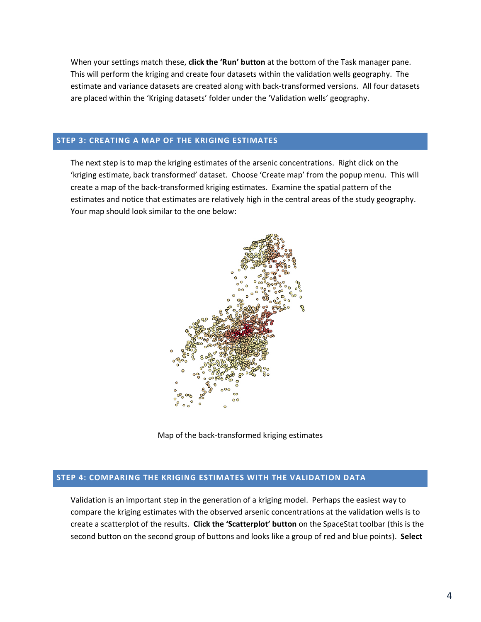When your settings match these, **click the 'Run' button** at the bottom of the Task manager pane. This will perform the kriging and create four datasets within the validation wells geography. The estimate and variance datasets are created along with back-transformed versions. All four datasets are placed within the 'Kriging datasets' folder under the 'Validation wells' geography.

### **STEP 3: CREATING A MAP OF THE KRIGING ESTIMATES**

The next step is to map the kriging estimates of the arsenic concentrations. Right click on the 'kriging estimate, back transformed' dataset. Choose 'Create map' from the popup menu. This will create a map of the back-transformed kriging estimates. Examine the spatial pattern of the estimates and notice that estimates are relatively high in the central areas of the study geography. Your map should look similar to the one below:



Map of the back-transformed kriging estimates

#### **STEP 4: COMPARING THE KRIGING ESTIMATES WITH THE VALIDATION DATA**

Validation is an important step in the generation of a kriging model. Perhaps the easiest way to compare the kriging estimates with the observed arsenic concentrations at the validation wells is to create a scatterplot of the results. **Click the 'Scatterplot' button** on the SpaceStat toolbar (this is the second button on the second group of buttons and looks like a group of red and blue points). **Select**